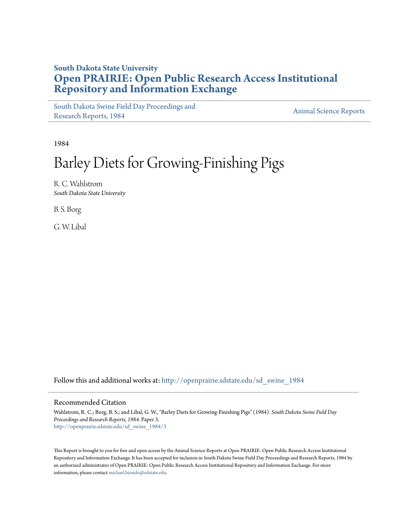## **South Dakota State University [Open PRAIRIE: Open Public Research Access Institutional](http://openprairie.sdstate.edu?utm_source=openprairie.sdstate.edu%2Fsd_swine_1984%2F3&utm_medium=PDF&utm_campaign=PDFCoverPages) [Repository and Information Exchange](http://openprairie.sdstate.edu?utm_source=openprairie.sdstate.edu%2Fsd_swine_1984%2F3&utm_medium=PDF&utm_campaign=PDFCoverPages)**

[South Dakota Swine Field Day Proceedings and](http://openprairie.sdstate.edu/sd_swine_1984?utm_source=openprairie.sdstate.edu%2Fsd_swine_1984%2F3&utm_medium=PDF&utm_campaign=PDFCoverPages) [Research Reports, 1984](http://openprairie.sdstate.edu/sd_swine_1984?utm_source=openprairie.sdstate.edu%2Fsd_swine_1984%2F3&utm_medium=PDF&utm_campaign=PDFCoverPages)<br>Research Reports, 1984

1984

# Barley Diets for Growing-Finishing Pigs

R. C. Wahlstrom *South Dakota State University*

B. S. Borg

G. W. Libal

Follow this and additional works at: [http://openprairie.sdstate.edu/sd\\_swine\\_1984](http://openprairie.sdstate.edu/sd_swine_1984?utm_source=openprairie.sdstate.edu%2Fsd_swine_1984%2F3&utm_medium=PDF&utm_campaign=PDFCoverPages)

#### Recommended Citation

Wahlstrom, R. C.; Borg, B. S.; and Libal, G. W., "Barley Diets for Growing-Finishing Pigs" (1984). *South Dakota Swine Field Day Proceedings and Research Reports, 1984.* Paper 3. [http://openprairie.sdstate.edu/sd\\_swine\\_1984/3](http://openprairie.sdstate.edu/sd_swine_1984/3?utm_source=openprairie.sdstate.edu%2Fsd_swine_1984%2F3&utm_medium=PDF&utm_campaign=PDFCoverPages)

This Report is brought to you for free and open access by the Animal Science Reports at Open PRAIRIE: Open Public Research Access Institutional Repository and Information Exchange. It has been accepted for inclusion in South Dakota Swine Field Day Proceedings and Research Reports, 1984 by an authorized administrator of Open PRAIRIE: Open Public Research Access Institutional Repository and Information Exchange. For more information, please contact [michael.biondo@sdstate.edu](mailto:michael.biondo@sdstate.edu).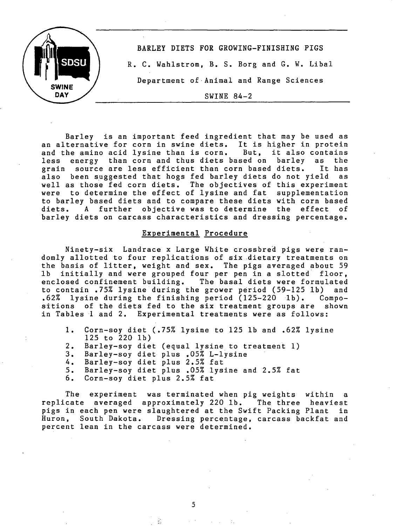

Barley is an important feed ingredient that may be used as an alternative for corn in swine diets. It is higher in protein<br>and the amino acid lysine than is corn. But. it also contains and the amino acid lysine than is corn. But, it also contains<br>less energy than corn and thus diets based on barley as the less energy than corn and thus diets based on barley as the<br>grain source are less efficient than corn based diets. It has source are less efficient than corn based diets. It has<br>een suggested that hogs fed barley diets do not vield as also been suggested that hogs fed barley diets do not yield well as those fed corn diets. The objectives of this experiment were to determine the effect of lysine and fat supplementation to barley based diets and to compare these diets with corn based diets. A further objective was to determine the effect barley diets on carcass characteristics and dressing percentage.

#### Experimental Procedure

Ninety-six Landrace x Large White crossbred pigs were randomly allotted to four replications of six dietary treatments on the basis of litter, weight and sex. The pigs averaged about 59 lb initially and were grouped four per pen in a slotted floor, enclosed confinement building. The basal diets were formulated<br>to contain .75% lysine during the grower period (59-125 lb) and to contain .75% lysine during the grower period  $(59-125)$  lb) .62% lysine during the finishing period (125-220 lb). Compositions of the diets fed to the six treatment groups are shown in Tables 1 and 2. Experimental treatments were as follows:

- 1. Corn-soy diet (.75% lysine to 125 lb and .62% lysine 125 to 220 lb)
- 2. Barley-soy diet (equal lysine to treatment 1)<br>3. Barley-soy diet plus .05% L-lysine
- 3. Barley-soy diet plus .05% L-lysine
- 4. Barley-soy diet plus 2.5% fat
- 5. Barley-soy diet plus .05% lysine and 2.5% fat
- Corn-soy diet plus 2.5% fat

The experiment was terminated when pig weights within a replicate averaged approximately 220 lb. The three heaviest pigs in each pen were slaughtered at the Swift Packing Plant in Huron, South Dakota. Dressing percentage, carcass backfat and percent lean in the carcass were determined.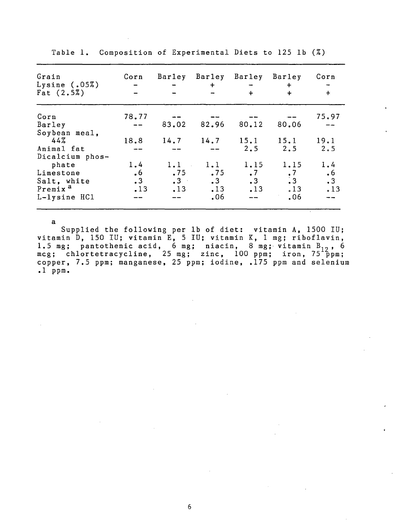| Grain<br>Lysine $(.05%)$<br>Fat $(2.5\%)$                                                   | Corn                                       | Barley                                 | Barley Barley Barley<br>$+$           | $+$                                            | $+$<br>$\div$                                               | Corn<br>$\ddot{+}$                   |
|---------------------------------------------------------------------------------------------|--------------------------------------------|----------------------------------------|---------------------------------------|------------------------------------------------|-------------------------------------------------------------|--------------------------------------|
| Corn<br>Barley                                                                              | 78.77                                      |                                        | 83.02 82.96                           | 80.12                                          | 80.06                                                       | 75.97                                |
| Soybean meal,<br>44%<br>Animal fat                                                          | 18.8                                       |                                        | $14.7$ $14.7$ $15.1$                  | 2.5                                            | 15.1<br>2.5                                                 | 19.1<br>2.5                          |
| Dicalcium phos-<br>phate<br>Limestone<br>Salt, white<br>Premix <sup>a</sup><br>L-lysine HC1 | 1.4<br>.6 <sub>5</sub><br>$\cdot$ 3<br>.13 | 1.1<br>.75<br>$\cdot$ 3 $\cdot$<br>.13 | 1.1<br>.75<br>$\cdot$ 3<br>.13<br>.06 | 1.15<br>$\cdot$ 7<br>$\cdot$ 3<br>.13<br>$- -$ | 1.15<br>$\begin{array}{c} 7 \\ 3 \end{array}$<br>.13<br>.06 | 1.4<br>$\cdot 6$<br>$\cdot$ 3<br>.13 |

Table 1. Composition of Experimental Diets to 125 lb (%)

a

Supplied the following per lb of diet: vitamin A, 1500 IU; vitamin D, 150 IU; vitamin E, 5 IU; vitamin K, 1 mg; riboflavin, 1.5 mg; pantothenic acid, 6 mg; niacin, 8 mg; vitamin B<sub>12</sub>, 6<br>mcg; chlortetracycline, 25 mg; zinc, 100 ppm; iron, 75 ppm; copper, 7.5 ppm; manganese, 25 ppm; iodine, .175 ppm and selenium .1 ppm.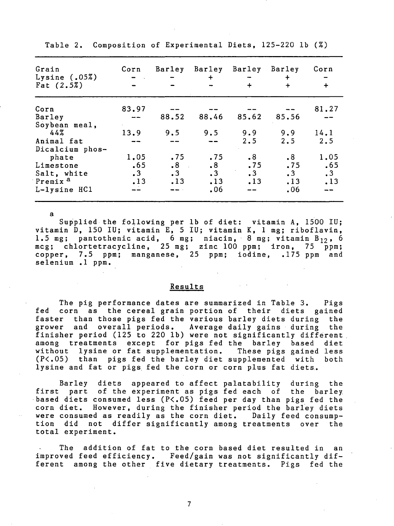| Grain<br>Lysine $(.05%)$<br>Fat $(2.5\%)$ | Corn<br>$ -$ | Barley          | $\ddot{+}$ | Barley Barley Barley<br>$\div$ | $\ddot{}$<br>$+$ | Corn<br>$+$ |
|-------------------------------------------|--------------|-----------------|------------|--------------------------------|------------------|-------------|
| Corn                                      | 83.97        |                 |            |                                |                  | 81.27       |
| Barley                                    |              | 88.52           | 88.46      | 85.62                          | 85.56            |             |
| Soybean meal,                             |              |                 |            |                                |                  |             |
| 44%                                       | 13.9         | 9.5             | 9.5        | 9.9                            | 9.9              | 14.1        |
| Animal fat                                |              |                 |            | 2.5                            | 2.5              | 2.5         |
| Dicalcium phos-                           |              |                 |            |                                |                  |             |
| phate                                     | 1,05         | .75             | .75        | $\cdot$ 8                      | .8 <sub>•</sub>  | 1.05        |
| Limestone                                 | .65          | .8 <sub>1</sub> | $\cdot$ 8  | .75                            | .75              | .65         |
| Salt, white                               | .3           | $\cdot$ 3       | .3         | $\cdot$ 3                      | $\cdot$ 3        | $\cdot$ 3   |
| 'Premix <sup>a</sup>                      | .13          | .13             | .13        | .13                            | .13              | .13         |
| L-lysine HC1                              |              |                 | .06        |                                | .06              |             |

Table 2. Composition of Experimental Diets, 125-220 lb (%)

Supplied the following per lb of diet: vitamin A, 1500 IU; vitamin D, 150 IU; vitamin E, 5 IU; vitamin K, 1 mg; riboflavin, 1.5 mg; pantothenic acid,  $6$  mg; niacin, 8 mg; vitamin  $B_{12}$ , 6 mcg; chlortetracycline, 25 mg; zinc 100 ppm; iron, 75 ppm; copper, 7.5 ppm; manganese, 25 ppm; iodine, 175 ppm and selenium .1 ppm.

a

### Results

The pig performance dates are summarized in Table 3. Pigs fed corn as the cereal grain portion of their diets gained faster than those pigs fed the various barley diets during the grower and overall periods. Average daily gains during the finisher period (125 to 220 lb) were not significantly different. among treatments except for pigs fed the barley based diet without lysine or fat supplementation. These pigs gained less (P<.05) than pigs fed the barley diet supplemented with both lysine and fat or pigs fed the corn or corn plus fat diets.

Barley diets appeared to affect palatability during the first part of the experiment as pigs fed each of the barley based diets consumed less (P<.05) feed per day than pigs fed the corn diet. However, during the finisher period the barley diets were consumed as readily as the corn diet. Daily feed consumption did not differ significantly among treatments over the total experiment.

The addition of fat to the corn based diet resulted in an improved feed efficiency. Feed/gain was not significantly different among the other five dietary treatments. Pigs fed the

7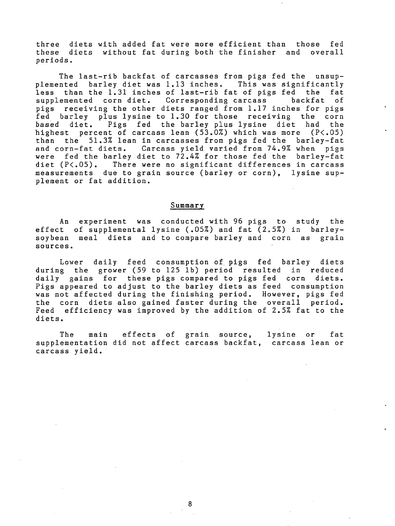three diets with added fat were more efficient than those fed these diets without fat during both the finisher and overall periods.

The last-rib backfat of carcasses from pigs fed the unsupplemented barley diet was 1.13 inches. This was significantly<br>less than the 1.31 inches of last-rib fat of pigs fed the fat less than the 1.31 inches of last-rib fat of pigs fed the fat<br>supplemented corn diet. Corresponding carcass backfat of supplemented corn diet. Corresponding carcass pigs receiving the other diets ranged from 1.17 inches for pigs fed barley plus lysine to 1.30 for those receiving the corn<br>based diet. Pigs fed the barley plus lysine diet had the Pigs fed the barley plus lysine diet had the highest percent of carcass lean  $(53.0\%)$  which was more  $(P<.05)$ than the 51.3% lean in carcasses from pigs fed the barley-fat and corn-fat diets. Carcass yield varied from 74.9% when pigs were fed the barley diet to 72.4% for those fed the barley-fat<br>diet  $(P<sub>0</sub>,05)$ . There were no significant differences in carcass There were no significant differences in carcass measurements due to grain source (barley or corn), lysine supplement or fat addition.

#### **Summary**

An experiment was conducted with 96 pigs to study the effect of supplemental lysine (.05%) and fat (2.5%) in barleysoybean meal diets and to compare barley and corn as grain sources.

Lower daily feed consumption of pigs fed barley diets during the grower (59 to 125 lb) period resulted in reduced daily gains for these pigs compared to pigs fed corn diets. Pigs appeared to adjust to the barley diets as feed consumption was not affected during the finishing period. However, pigs fed the corn diets also gained faster during the overall period. Feed efficiency was improved by the addition of 2.5% fat to the diets.

The main effects of grain source, lysine or fat supplementation did not affect carcass backfat, carcass lean or carcass yield.